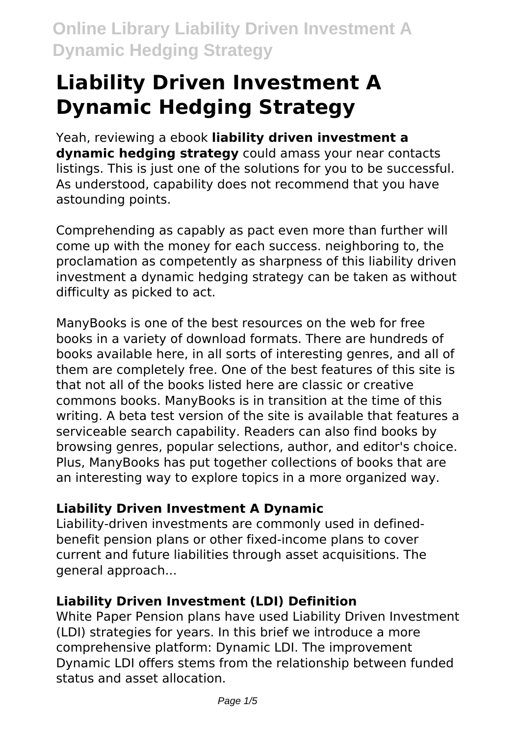# **Liability Driven Investment A Dynamic Hedging Strategy**

Yeah, reviewing a ebook **liability driven investment a dynamic hedging strategy** could amass your near contacts listings. This is just one of the solutions for you to be successful. As understood, capability does not recommend that you have astounding points.

Comprehending as capably as pact even more than further will come up with the money for each success. neighboring to, the proclamation as competently as sharpness of this liability driven investment a dynamic hedging strategy can be taken as without difficulty as picked to act.

ManyBooks is one of the best resources on the web for free books in a variety of download formats. There are hundreds of books available here, in all sorts of interesting genres, and all of them are completely free. One of the best features of this site is that not all of the books listed here are classic or creative commons books. ManyBooks is in transition at the time of this writing. A beta test version of the site is available that features a serviceable search capability. Readers can also find books by browsing genres, popular selections, author, and editor's choice. Plus, ManyBooks has put together collections of books that are an interesting way to explore topics in a more organized way.

# **Liability Driven Investment A Dynamic**

Liability-driven investments are commonly used in definedbenefit pension plans or other fixed-income plans to cover current and future liabilities through asset acquisitions. The general approach...

# **Liability Driven Investment (LDI) Definition**

White Paper Pension plans have used Liability Driven Investment (LDI) strategies for years. In this brief we introduce a more comprehensive platform: Dynamic LDI. The improvement Dynamic LDI offers stems from the relationship between funded status and asset allocation.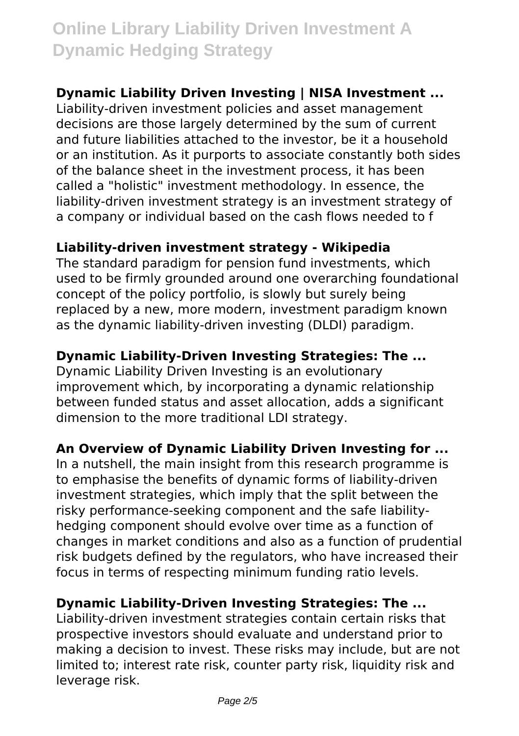# **Dynamic Liability Driven Investing | NISA Investment ...**

Liability-driven investment policies and asset management decisions are those largely determined by the sum of current and future liabilities attached to the investor, be it a household or an institution. As it purports to associate constantly both sides of the balance sheet in the investment process, it has been called a "holistic" investment methodology. In essence, the liability-driven investment strategy is an investment strategy of a company or individual based on the cash flows needed to f

### **Liability-driven investment strategy - Wikipedia**

The standard paradigm for pension fund investments, which used to be firmly grounded around one overarching foundational concept of the policy portfolio, is slowly but surely being replaced by a new, more modern, investment paradigm known as the dynamic liability-driven investing (DLDI) paradigm.

# **Dynamic Liability-Driven Investing Strategies: The ...**

Dynamic Liability Driven Investing is an evolutionary improvement which, by incorporating a dynamic relationship between funded status and asset allocation, adds a significant dimension to the more traditional LDI strategy.

# **An Overview of Dynamic Liability Driven Investing for ...**

In a nutshell, the main insight from this research programme is to emphasise the benefits of dynamic forms of liability-driven investment strategies, which imply that the split between the risky performance-seeking component and the safe liabilityhedging component should evolve over time as a function of changes in market conditions and also as a function of prudential risk budgets defined by the regulators, who have increased their focus in terms of respecting minimum funding ratio levels.

#### **Dynamic Liability-Driven Investing Strategies: The ...**

Liability-driven investment strategies contain certain risks that prospective investors should evaluate and understand prior to making a decision to invest. These risks may include, but are not limited to; interest rate risk, counter party risk, liquidity risk and leverage risk.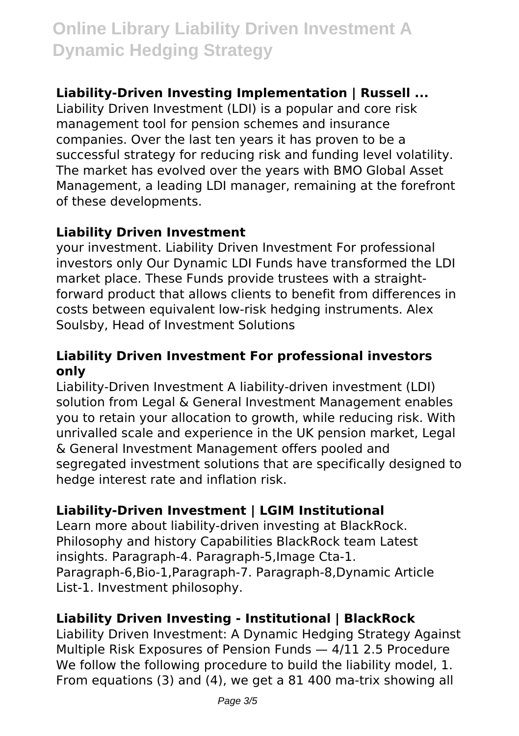# **Liability-Driven Investing Implementation | Russell ...**

Liability Driven Investment (LDI) is a popular and core risk management tool for pension schemes and insurance companies. Over the last ten years it has proven to be a successful strategy for reducing risk and funding level volatility. The market has evolved over the years with BMO Global Asset Management, a leading LDI manager, remaining at the forefront of these developments.

#### **Liability Driven Investment**

your investment. Liability Driven Investment For professional investors only Our Dynamic LDI Funds have transformed the LDI market place. These Funds provide trustees with a straightforward product that allows clients to benefit from differences in costs between equivalent low-risk hedging instruments. Alex Soulsby, Head of Investment Solutions

#### **Liability Driven Investment For professional investors only**

Liability-Driven Investment A liability-driven investment (LDI) solution from Legal & General Investment Management enables you to retain your allocation to growth, while reducing risk. With unrivalled scale and experience in the UK pension market, Legal & General Investment Management offers pooled and segregated investment solutions that are specifically designed to hedge interest rate and inflation risk.

# **Liability-Driven Investment | LGIM Institutional**

Learn more about liability-driven investing at BlackRock. Philosophy and history Capabilities BlackRock team Latest insights. Paragraph-4. Paragraph-5,Image Cta-1. Paragraph-6,Bio-1,Paragraph-7. Paragraph-8,Dynamic Article List-1. Investment philosophy.

# **Liability Driven Investing - Institutional | BlackRock**

Liability Driven Investment: A Dynamic Hedging Strategy Against Multiple Risk Exposures of Pension Funds — 4/11 2.5 Procedure We follow the following procedure to build the liability model, 1. From equations (3) and (4), we get a 81 400 ma-trix showing all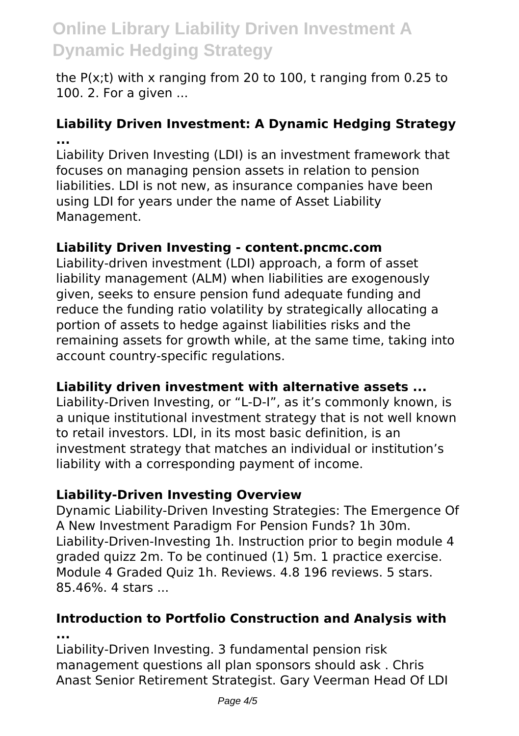the P(x;t) with x ranging from 20 to 100, t ranging from 0.25 to 100. 2. For a given ...

### **Liability Driven Investment: A Dynamic Hedging Strategy ...**

Liability Driven Investing (LDI) is an investment framework that focuses on managing pension assets in relation to pension liabilities. LDI is not new, as insurance companies have been using LDI for years under the name of Asset Liability Management.

### **Liability Driven Investing - content.pncmc.com**

Liability-driven investment (LDI) approach, a form of asset liability management (ALM) when liabilities are exogenously given, seeks to ensure pension fund adequate funding and reduce the funding ratio volatility by strategically allocating a portion of assets to hedge against liabilities risks and the remaining assets for growth while, at the same time, taking into account country-specific regulations.

# **Liability driven investment with alternative assets ...**

Liability-Driven Investing, or "L-D-I", as it's commonly known, is a unique institutional investment strategy that is not well known to retail investors. LDI, in its most basic definition, is an investment strategy that matches an individual or institution's liability with a corresponding payment of income.

#### **Liability-Driven Investing Overview**

Dynamic Liability-Driven Investing Strategies: The Emergence Of A New Investment Paradigm For Pension Funds? 1h 30m. Liability-Driven-Investing 1h. Instruction prior to begin module 4 graded quizz 2m. To be continued (1) 5m. 1 practice exercise. Module 4 Graded Quiz 1h. Reviews. 4.8 196 reviews. 5 stars. 85.46%. 4 stars ...

#### **Introduction to Portfolio Construction and Analysis with ...**

Liability-Driven Investing. 3 fundamental pension risk management questions all plan sponsors should ask . Chris Anast Senior Retirement Strategist. Gary Veerman Head Of LDI